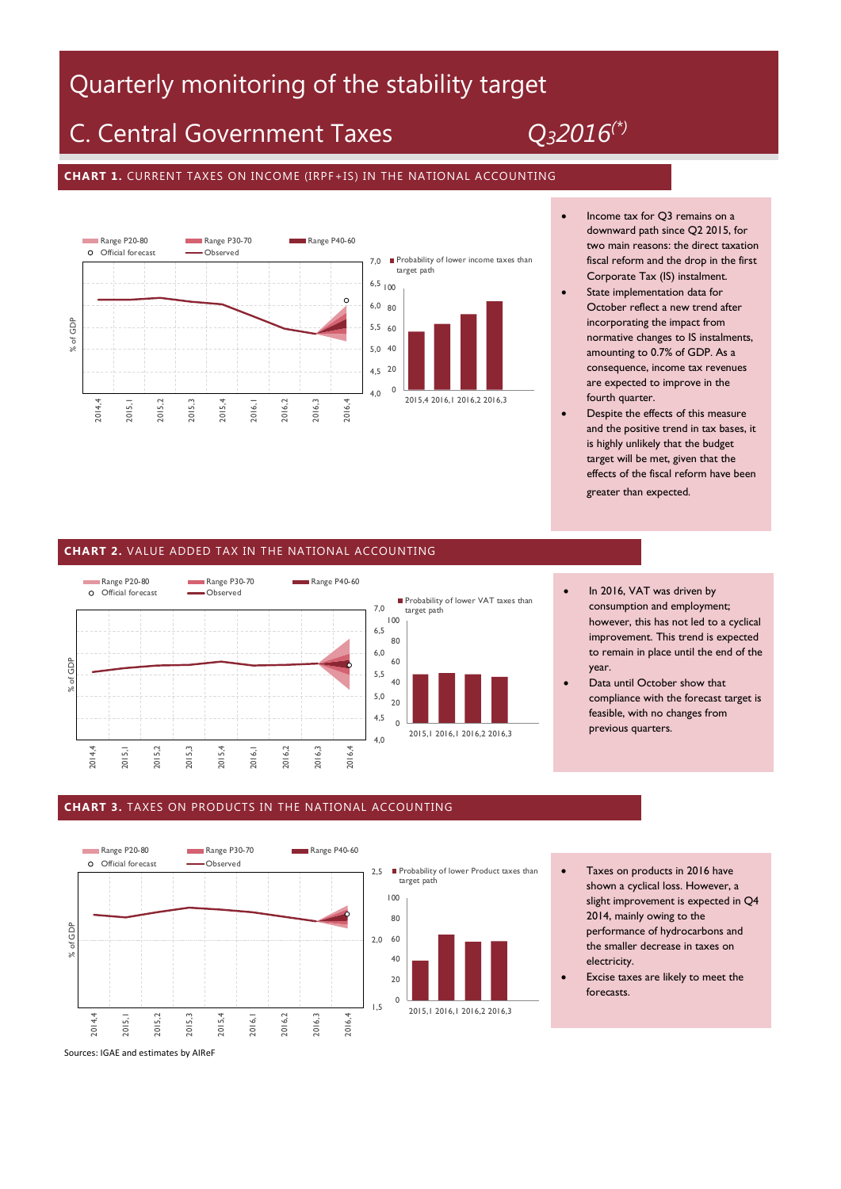# Quarterly monitoring of the stability target

# C. Central Government Taxes *Q32016(\*)*

## **CHART 1.** CURRENT TAXES ON INCOME (IRPF+IS) IN THE NATIONAL ACCOUNTING



- $\bullet$  Income tax for  $O3$  remains on a downward path since Q2 2015, for two main reasons: the direct taxation fiscal reform and the drop in the first Corporate Tax (IS) instalment.
- State implementation data for October reflect a new trend after incorporating the impact from normative changes to IS instalments, amounting to 0.7% of GDP. As a consequence, income tax revenues are expected to improve in the fourth quarter.
- Despite the effects of this measure and the positive trend in tax bases, it is highly unlikely that the budget target will be met, given that the effects of the fiscal reform have been greater than expected.

### **CHART 2.** VALUE ADDED TAX IN THE NATIONAL ACCOUNTING



- In 2016, VAT was driven by consumption and employment; however, this has not led to a cyclical improvement. This trend is expected to remain in place until the end of the year.
- Data until October show that compliance with the forecast target is feasible, with no changes from previous quarters.

#### **CHART 3.** TAXES ON PRODUCTS IN THE NATIONAL ACCOUNTING



- Taxes on products in 2016 have shown a cyclical loss. However, a slight improvement is expected in Q4 2014, mainly owing to the performance of hydrocarbons and the smaller decrease in taxes on electricity.
- Excise taxes are likely to meet the forecasts.